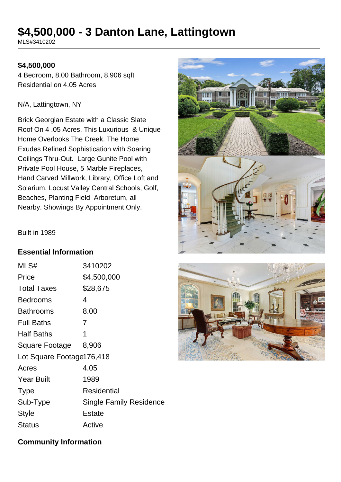# **\$4,500,000 - 3 Danton Lane, Lattingtown**

MLS#3410202

#### **\$4,500,000**

4 Bedroom, 8.00 Bathroom, 8,906 sqft Residential on 4.05 Acres

#### N/A, Lattingtown, NY

Brick Georgian Estate with a Classic Slate Roof On 4 .05 Acres. This Luxurious & Unique Home Overlooks The Creek. The Home Exudes Refined Sophistication with Soaring Ceilings Thru-Out. Large Gunite Pool with Private Pool House, 5 Marble Fireplaces, Hand Carved Millwork, Library, Office Loft and Solarium. Locust Valley Central Schools, Golf, Beaches, Planting Field Arboretum, all Nearby. Showings By Appointment Only.





#### **Essential Information**

| MLS#                      | 3410202                        |
|---------------------------|--------------------------------|
| Price                     | \$4,500,000                    |
| <b>Total Taxes</b>        | \$28,675                       |
| <b>Bedrooms</b>           | 4                              |
| <b>Bathrooms</b>          | 8.00                           |
| <b>Full Baths</b>         | 7                              |
| <b>Half Baths</b>         | 1                              |
| Square Footage            | 8,906                          |
| Lot Square Footage176,418 |                                |
| Acres                     | 4.05                           |
| <b>Year Built</b>         | 1989                           |
| <b>Type</b>               | Residential                    |
| Sub-Type                  | <b>Single Family Residence</b> |
| Style                     | Estate                         |
| Status                    | Active                         |



## **Community Information**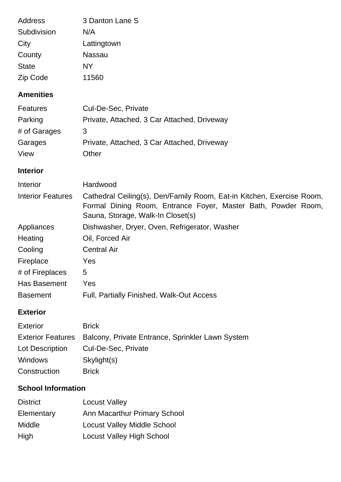| Address      | 3 Danton Lane S |
|--------------|-----------------|
| Subdivision  | N/A             |
| City         | Lattingtown     |
| County       | Nassau          |
| <b>State</b> | NY              |
| Zip Code     | 11560           |

# **Amenities**

| <b>Features</b> | Cul-De-Sec, Private                         |
|-----------------|---------------------------------------------|
| Parking         | Private, Attached, 3 Car Attached, Driveway |
| # of Garages    | 3                                           |
| Garages         | Private, Attached, 3 Car Attached, Driveway |
| View            | Other                                       |

## **Interior**

| Interior                 | Hardwood                                                                                                                                                                    |  |
|--------------------------|-----------------------------------------------------------------------------------------------------------------------------------------------------------------------------|--|
| <b>Interior Features</b> | Cathedral Ceiling(s), Den/Family Room, Eat-in Kitchen, Exercise Room,<br>Formal Dining Room, Entrance Foyer, Master Bath, Powder Room,<br>Sauna, Storage, Walk-In Closet(s) |  |
| Appliances               | Dishwasher, Dryer, Oven, Refrigerator, Washer                                                                                                                               |  |
| Heating                  | Oil, Forced Air                                                                                                                                                             |  |
| Cooling                  | <b>Central Air</b>                                                                                                                                                          |  |
| Fireplace                | Yes                                                                                                                                                                         |  |
| # of Fireplaces          | 5                                                                                                                                                                           |  |
| Has Basement             | Yes                                                                                                                                                                         |  |
| <b>Basement</b>          | <b>Full, Partially Finished, Walk-Out Access</b>                                                                                                                            |  |

# **Exterior**

| Exterior        | <b>Brick</b>                                                       |
|-----------------|--------------------------------------------------------------------|
|                 | Exterior Features Balcony, Private Entrance, Sprinkler Lawn System |
| Lot Description | Cul-De-Sec, Private                                                |
| Windows         | Skylight(s)                                                        |
| Construction    | <b>Brick</b>                                                       |

# **School Information**

| <b>District</b> | <b>Locust Valley</b>               |
|-----------------|------------------------------------|
| Elementary      | Ann Macarthur Primary School       |
| Middle          | <b>Locust Valley Middle School</b> |
| High            | <b>Locust Valley High School</b>   |